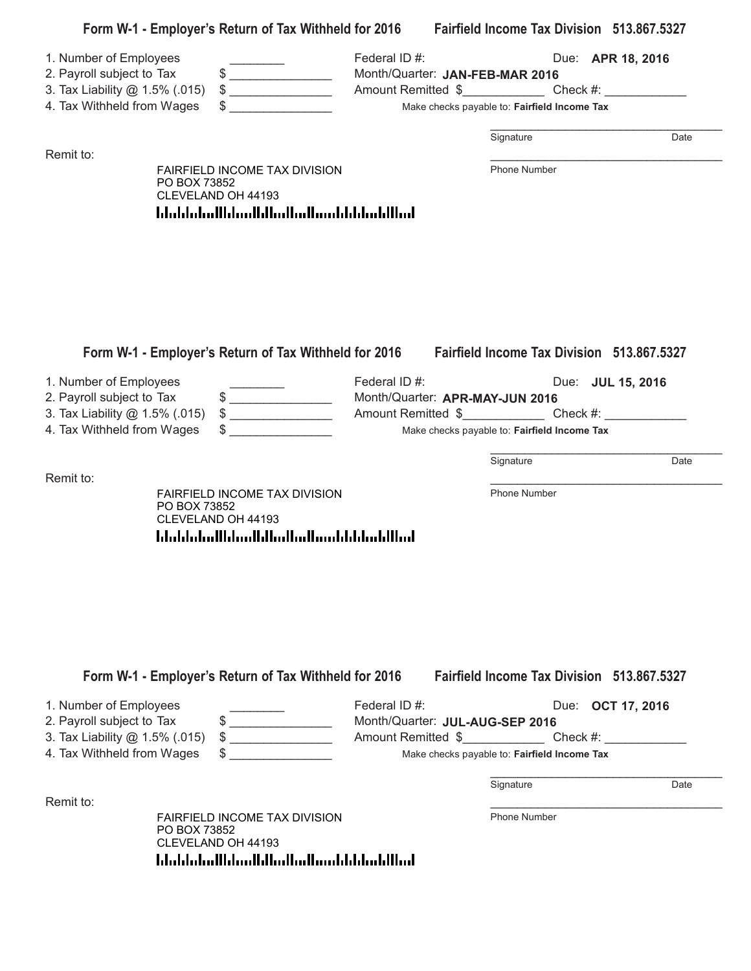| $\qquad \qquad \, \texttt{\$} \textcolor{red}{\overbrace{ \texttt{\_}} \texttt{\_}}$<br>$\big\}$<br>3. Tax Liability @ 1.5% (.015)<br>4. Tax Withheld from Wages<br>$\sim$ | Federal ID#:<br>Month/Quarter: JAN-FEB-MAR 2016                                                                                   |                                                                                                                                                                                  | Due: <b>APR 18, 2016</b>                                                                                                                                                                                                                                                                         |
|----------------------------------------------------------------------------------------------------------------------------------------------------------------------------|-----------------------------------------------------------------------------------------------------------------------------------|----------------------------------------------------------------------------------------------------------------------------------------------------------------------------------|--------------------------------------------------------------------------------------------------------------------------------------------------------------------------------------------------------------------------------------------------------------------------------------------------|
|                                                                                                                                                                            |                                                                                                                                   |                                                                                                                                                                                  |                                                                                                                                                                                                                                                                                                  |
|                                                                                                                                                                            |                                                                                                                                   |                                                                                                                                                                                  |                                                                                                                                                                                                                                                                                                  |
|                                                                                                                                                                            | Amount Remitted \$_______________________Check #: _______________________________<br>Make checks payable to: Fairfield Income Tax |                                                                                                                                                                                  |                                                                                                                                                                                                                                                                                                  |
|                                                                                                                                                                            |                                                                                                                                   | Signature                                                                                                                                                                        | Date                                                                                                                                                                                                                                                                                             |
| FAIRFIELD INCOME TAX DIVISION<br>PO BOX 73852<br>CLEVELAND OH 44193                                                                                                        |                                                                                                                                   | Phone Number                                                                                                                                                                     |                                                                                                                                                                                                                                                                                                  |
|                                                                                                                                                                            |                                                                                                                                   |                                                                                                                                                                                  |                                                                                                                                                                                                                                                                                                  |
|                                                                                                                                                                            |                                                                                                                                   |                                                                                                                                                                                  |                                                                                                                                                                                                                                                                                                  |
|                                                                                                                                                                            |                                                                                                                                   |                                                                                                                                                                                  |                                                                                                                                                                                                                                                                                                  |
| 2. Payroll subject to Tax<br>3. Tax Liability @ 1.5% (.015)                                                                                                                |                                                                                                                                   |                                                                                                                                                                                  |                                                                                                                                                                                                                                                                                                  |
| 4. Tax Withheld from Wages                                                                                                                                                 |                                                                                                                                   |                                                                                                                                                                                  |                                                                                                                                                                                                                                                                                                  |
|                                                                                                                                                                            |                                                                                                                                   | Signature                                                                                                                                                                        | Date                                                                                                                                                                                                                                                                                             |
| FAIRFIELD INCOME TAX DIVISION<br>PO BOX 73852<br>CLEVELAND OH 44193                                                                                                        |                                                                                                                                   | Phone Number                                                                                                                                                                     |                                                                                                                                                                                                                                                                                                  |
|                                                                                                                                                                            |                                                                                                                                   |                                                                                                                                                                                  |                                                                                                                                                                                                                                                                                                  |
|                                                                                                                                                                            |                                                                                                                                   |                                                                                                                                                                                  |                                                                                                                                                                                                                                                                                                  |
| $\begin{array}{c} \updownarrow \\ \downarrow \end{array}$                                                                                                                  | Federal ID#:                                                                                                                      |                                                                                                                                                                                  | Due: OCT 17, 2016                                                                                                                                                                                                                                                                                |
| 4. Tax Withheld from Wages                                                                                                                                                 |                                                                                                                                   | Make checks payable to: Fairfield Income Tax                                                                                                                                     |                                                                                                                                                                                                                                                                                                  |
|                                                                                                                                                                            |                                                                                                                                   |                                                                                                                                                                                  |                                                                                                                                                                                                                                                                                                  |
|                                                                                                                                                                            |                                                                                                                                   | Signature                                                                                                                                                                        | Date                                                                                                                                                                                                                                                                                             |
|                                                                                                                                                                            | $\big\}$<br>$\frac{1}{2}$<br>3. Tax Liability @ 1.5% (.015)                                                                       | المطالبا بمليانا باستمالتها انتظارا استانت الململيات<br>Federal ID#:<br><u> Idaldaladildaallilladladiaaldildadillad</u><br>Form W-1 - Employer's Return of Tax Withheld for 2016 | Form W-1 - Employer's Return of Tax Withheld for 2016 Fairfield Income Tax Division 513.867.5327<br>Due: JUL 15, 2016<br>Month/Quarter: APR-MAY-JUN 2016<br>Make checks payable to: Fairfield Income Tax<br><b>Fairfield Income Tax Division 513,867,5327</b><br>Month/Quarter: JUL-AUG-SEP 2016 |